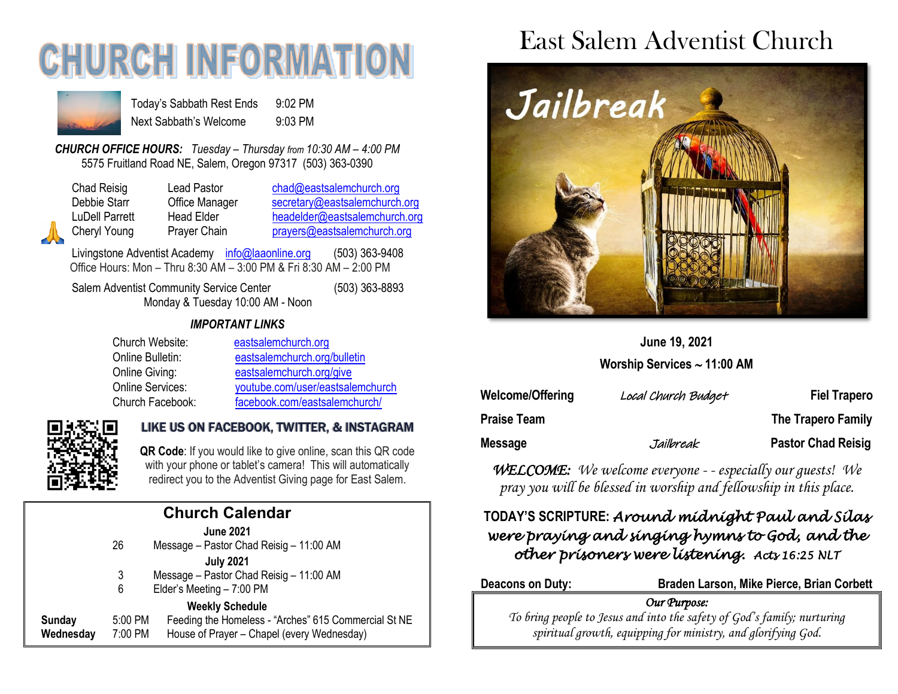# **CHURCH INFORMA**



Today's Sabbath Rest Ends 9:02 PM Next Sabbath's Welcome 9:03 PM

*CHURCH OFFICE HOURS: Tuesday – Thursday from 10:30 AM – 4:00 PM* 5575 Fruitland Road NE, Salem, Oregon 97317 (503) 363-0390

Chad Reisig Lead Pastor [chad@eastsalemchurch.org](mailto:chad@eastsalemchurch.org) Debbie Starr Office Manager [secretary@eastsalemchurch.org](mailto:secretary@eastsalemchurch.org) LuDell Parrett Head Elder [headelder@eastsalemchurch.org](mailto:headelder@eastsalemchurch.org) Cheryl Young Prayer Chain [prayers@eastsalemchurch.org](mailto:prayers@eastsalemchurch.org)

Livingstone Adventist Academy [info@laaonline.org](mailto:info@laaonline.org) (503) 363-9408 Office Hours: Mon – Thru 8:30 AM – 3:00 PM & Fri 8:30 AM – 2:00 PM

Salem Adventist Community Service Center (503) 363-8893 Monday & Tuesday 10:00 AM - Noon

#### *IMPORTANT LINKS*

| Church Website:  | eastsalemchurch.org              |  |
|------------------|----------------------------------|--|
| Online Bulletin: | eastsalemchurch.org/bulletin     |  |
| Online Giving:   | eastsalemchurch.org/give         |  |
| Online Services: | youtube.com/user/eastsalemchurch |  |
| Church Facebook: | facebook.com/eastsalemchurch/    |  |



#### LIKE US ON FACEBOOK, TWITTER, & INSTAGRAM

**QR Code**: If you would like to give online, scan this QR code with your phone or tablet's camera! This will automatically redirect you to the Adventist Giving page for East Salem.

| <b>Church Calendar</b> |                    |                                                                                                                              |  |  |  |
|------------------------|--------------------|------------------------------------------------------------------------------------------------------------------------------|--|--|--|
|                        | 26                 | <b>June 2021</b><br>Message - Pastor Chad Reisig - 11:00 AM                                                                  |  |  |  |
|                        | 3<br>6             | <b>July 2021</b><br>Message - Pastor Chad Reisig - 11:00 AM<br>Elder's Meeting - 7:00 PM                                     |  |  |  |
| Sunday<br>Wednesday    | 5:00 PM<br>7:00 PM | <b>Weekly Schedule</b><br>Feeding the Homeless - "Arches" 615 Commercial St NE<br>House of Prayer - Chapel (every Wednesday) |  |  |  |
|                        |                    |                                                                                                                              |  |  |  |

## East Salem Adventist Church



### **June 19, 2021**

**Worship Services 11:00 AM**

| Welcome/Offering   | Local Church Budget | <b>Fiel Trapero</b>       |
|--------------------|---------------------|---------------------------|
| <b>Praise Team</b> |                     | <b>The Trapero Family</b> |
| Message            | Jailbreak           | <b>Pastor Chad Reisig</b> |

*WELCOME: We welcome everyone - - especially our guests! We pray you will be blessed in worship and fellowship in this place.*

#### **TODAY'S SCRIPTURE:** *Around midnight Paul and Silas were praying and singing hymns to God, and the other prisoners were listening. Acts 16:25 NLT*

**Deacons on Duty: Braden Larson, Mike Pierce, Brian Corbett**

#### *Our Purpose:*

*To bring people to Jesus and into the safety of God's family; nurturing spiritual growth, equipping for ministry, and glorifying God.*